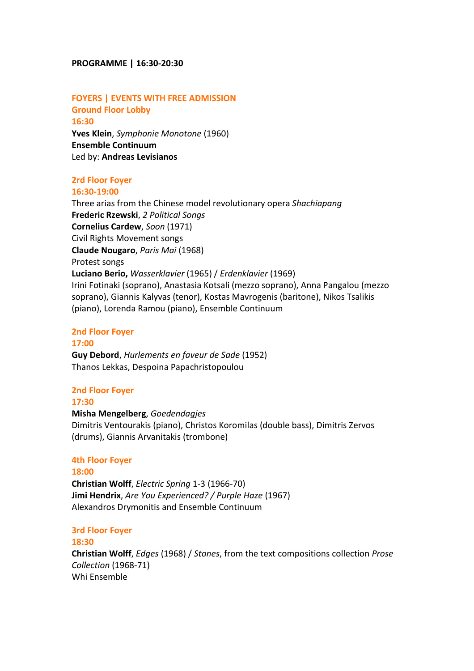#### **PROGRAMME | 16:30-20:30**

#### **FOYERS | EVENTS WITH FREE ADMISSION Ground Floor Lobby**

**16:30 Yves Klein**, *Symphonie Monotone* (1960) **Ensemble Continuum** Led by: **Andreas Levisianos**

#### **2rd Floor Foyer 16:30-19:00**

Three arias from the Chinese model revolutionary opera *Shachiapang* **Frederic Rzewski**, *2 Political Songs* **Cornelius Cardew**, *Soon* (1971) Civil Rights Movement songs **Claude Nougaro**, *Paris Mai* (1968) Protest songs **Luciano Berio,** *Wasserklavier* (1965) / *Erdenklavier* (1969) Irini Fotinaki (soprano), Anastasia Kotsali (mezzo soprano), Anna Pangalou (mezzo soprano), Giannis Kalyvas (tenor), Kostas Mavrogenis (baritone), Nikos Tsalikis (piano), Lorenda Ramou (piano), Ensemble Continuum

#### **2nd Floor Foyer**

### **17:00**

**Guy Debord**, *Hurlements en faveur de Sade* (1952) Thanos Lekkas, Despoina Papachristopoulou

#### **2nd Floor Foyer**

**17:30 Misha Mengelberg**, *Goedendagjes* Dimitris Ventourakis (piano), Christos Koromilas (double bass), Dimitris Zervos (drums), Giannis Arvanitakis (trombone)

#### **4th Floor Foyer**

**18:00 Christian Wolff**, *Electric Spring* 1-3 (1966-70) **Jimi Hendrix**, *Are You Experienced? / Purple Haze* (1967) Alexandros Drymonitis and Ensemble Continuum

#### **3rd Floor Foyer**

# **18:30 Christian Wolff**, *Edges* (1968) / *Stones*, from the text compositions collection *Prose Collection* (1968-71) Whi Ensemble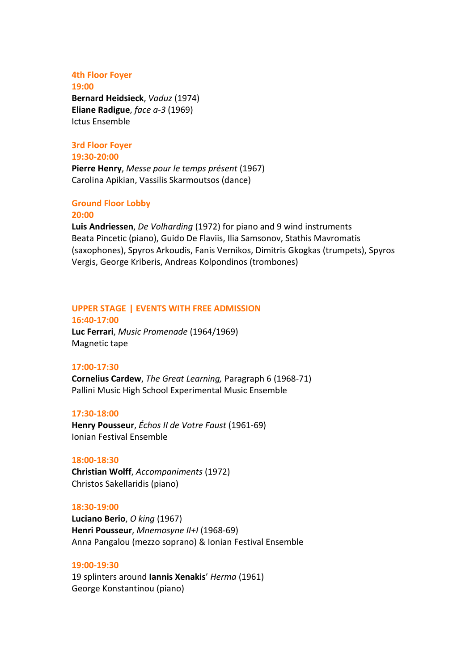#### **4th Floor Foyer 19:00**

**Bernard Heidsieck**, *Vaduz* (1974) **Eliane Radigue**, *face a-3* (1969) Ictus Ensemble

# **3rd Floor Foyer 19:30-20:00**

**Pierre Henry**, *Messe pour le temps présent* (1967) Carolina Apikian, Vassilis Skarmoutsos (dance)

#### **Ground Floor Lobby 20:00**

**Luis Andriessen**, *De Volharding* (1972) for piano and 9 wind instruments Beata Pincetic (piano), Guido De Flaviis, Ilia Samsonov, Stathis Mavromatis (saxophones), Spyros Arkoudis, Fanis Vernikos, Dimitris Gkogkas (trumpets), Spyros Vergis, George Kriberis, Andreas Kolpondinos (trombones)

# **UPPER STAGE | EVENTS WITH FREE ADMISSION**

**16:40-17:00 Luc Ferrari**, *Music Promenade* (1964/1969) Magnetic tape

# **17:00-17:30**

**Cornelius Cardew**, *The Great Learning,* Paragraph 6 (1968-71) Pallini Music High School Experimental Music Ensemble

# **17:30-18:00**

**Henry Pousseur**, *Échos II de Votre Faust* (1961-69) Ionian Festival Ensemble

# **18:00-18:30**

**Christian Wolff**, *Accompaniments* (1972) Christos Sakellaridis (piano)

### **18:30-19:00**

**Luciano Berio**, *O king* (1967) **Henri Pousseur**, *Mnemosyne II+I* (1968-69) Anna Pangalou (mezzo soprano) & Ionian Festival Ensemble

### **19:00-19:30**

19 splinters around **Iannis Xenakis**' *Herma* (1961) George Konstantinou (piano)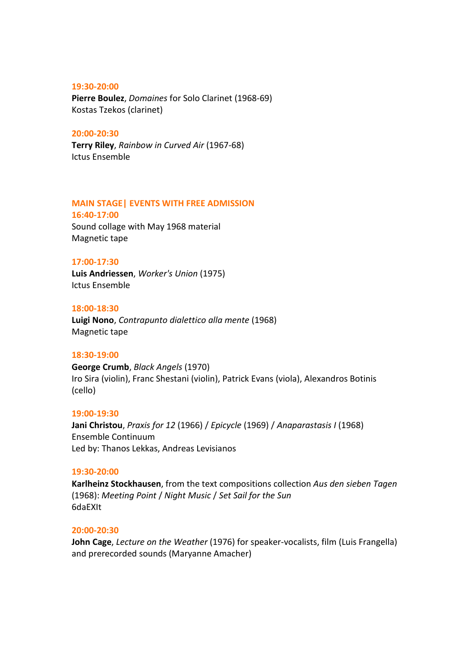#### **19:30-20:00**

**Pierre Boulez**, *Domaines* for Solo Clarinet (1968-69) Kostas Tzekos (clarinet)

#### **20:00-20:30**

**Terry Riley**, *Rainbow in Curved Air* (1967-68) Ictus Ensemble

### **MAIN STAGE| EVENTS WITH FREE ADMISSION**

**16:40-17:00** Sound collage with May 1968 material Magnetic tape

#### **17:00-17:30**

**Luis Andriessen**, *Worker's Union* (1975) Ictus Ensemble

#### **18:00-18:30**

**Luigi Nono**, *Contrapunto dialettico alla mente* (1968) Magnetic tape

#### **18:30-19:00**

**George Crumb**, *Black Angels* (1970) Iro Sira (violin), Franc Shestani (violin), Patrick Evans (viola), Alexandros Botinis (cello)

#### **19:00-19:30**

**Jani Christou**, *Praxis for 12* (1966) / *Epicycle* (1969) / *Anaparastasis Ι* (1968) Ensemble Continuum Led by: Thanos Lekkas, Andreas Levisianos

#### **19:30-20:00**

**Karlheinz Stockhausen**, from the text compositions collection *Aus den sieben Tagen* (1968): *Meeting Point* / *Night Music* / *Set Sail for the Sun* 6daEXIt

#### **20:00-20:30**

**John Cage**, *Lecture on the Weather* (1976) for speaker-vocalists, film (Luis Frangella) and prerecorded sounds (Maryanne Amacher)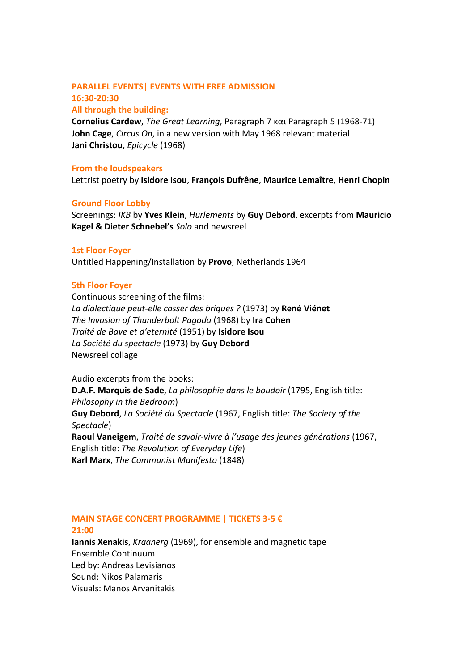# **PARALLEL EVENTS| EVENTS WITH FREE ADMISSION 16:30-20:30**

**All through the building:**

**Cornelius Cardew**, *The Great Learning*, Paragraph 7 και Paragraph 5 (1968-71) **John Cage**, *Circus On*, in a new version with May 1968 relevant material **Jani Christou**, *Epicycle* (1968)

### **From the loudspeakers**

Lettrist poetry by **Isidore Isou**, **François Dufrêne**, **Maurice Lemaître**, **Henri Chopin**

### **Ground Floor Lobby**

Screenings: *ΙΚΒ* by **Υves Klein**, *Hurlements* by **Guy Debord**, excerpts from **Mauricio Kagel & Dieter Schnebel's** *Solo* and newsreel

### **1st Floor Foyer**

Untitled Happening/Installation by **Provo**, Netherlands 1964

### **5th Floor Foyer**

Continuous screening of the films: *La dialectique peut-elle casser des briques ?* (1973) by **René Viénet** *The Invasion of Thunderbolt Pagoda* (1968) by **Ira Cohen** *Traité de Bave et d'eternité* (1951) by **Isidore Isou** *La Société du spectacle* (1973) by **Guy Debord** Newsreel collage

Audio excerpts from the books: **D.A.F. Marquis de Sade**, *La philosophie dans le boudoir* (1795, English title: *Philosophy in the Bedroom*) **Guy Debord**, *La Société du Spectacle* (1967, English title: *The Society of the Spectacle*) **Raoul Vaneigem**, *Traité de savoir-vivre à l'usage des jeunes générations* (1967, English title: *The Revolution of Everyday Life*) **Karl Marx**, *The Communist Manifesto* (1848)

# **MAIN STAGE CONCERT PROGRAMME | TICKETS 3-5 €**

#### **21:00**

**Iannis Xenakis**, *Kraanerg* (1969), for ensemble and magnetic tape Ensemble Continuum Led by: Andreas Levisianos Sound: Nikos Palamaris Visuals: Manos Arvanitakis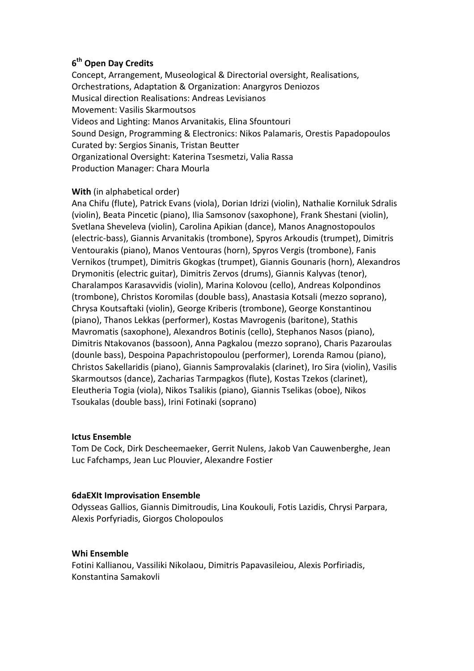# **6th Open Day Credits**

Concept, Arrangement, Museological & Directorial oversight, Realisations, Orchestrations, Adaptation & Organization: Anargyros Deniozos Musical direction Realisations: Andreas Levisianos Movement: Vasilis Skarmoutsos Videos and Lighting: Manos Arvanitakis, Elina Sfountouri Sound Design, Programming & Electronics: Nikos Palamaris, Orestis Papadopoulos Curated by: Sergios Sinanis, Tristan Beutter Organizational Oversight: Katerina Tsesmetzi, Valia Rassa Production Manager: Chara Mourla

# **With** (in alphabetical order)

Ana Chifu (flute), Patrick Evans (viola), Dorian Idrizi (violin), Nathalie Korniluk Sdralis (violin), Beata Pincetic (piano), Ilia Samsonov (saxophone), Frank Shestani (violin), Svetlana Sheveleva (violin), Carolina Apikian (dance), Manos Anagnostopoulos (electric-bass), Giannis Arvanitakis (trombone), Spyros Arkoudis (trumpet), Dimitris Ventourakis (piano), Manos Ventouras (horn), Spyros Vergis (trombone), Fanis Vernikos (trumpet), Dimitris Gkogkas (trumpet), Giannis Gounaris (horn), Alexandros Drymonitis (electric guitar), Dimitris Zervos (drums), Giannis Kalyvas (tenor), Charalampos Karasavvidis (violin), Marina Kolovou (cello), Andreas Kolpondinos (trombone), Christos Koromilas (double bass), Anastasia Kotsali (mezzo soprano), Chrysa Koutsaftaki (violin), George Kriberis (trombone), George Konstantinou (piano), Thanos Lekkas (performer), Kostas Mavrogenis (baritone), Stathis Mavromatis (saxophone), Alexandros Botinis (cello), Stephanos Nasos (piano), Dimitris Ntakovanos (bassoon), Anna Pagkalou (mezzo soprano), Charis Pazaroulas (dounle bass), Despoina Papachristopoulou (performer), Lorenda Ramou (piano), Christos Sakellaridis (piano), Giannis Samprovalakis (clarinet), Iro Sira (violin), Vasilis Skarmoutsos (dance), Zacharias Tarmpagkos (flute), Kostas Tzekos (clarinet), Eleutheria Togia (viola), Nikos Tsalikis (piano), Giannis Tselikas (oboe), Nikos Tsoukalas (double bass), Irini Fotinaki (soprano)

### **Ictus Εnsemble**

Tom De Cock, Dirk Descheemaeker, Gerrit Nulens, Jakob Van Cauwenberghe, Jean Luc Fafchamps, Jean Luc Plouvier, Alexandre Fostier

### **6daEXIt Improvisation Ensemble**

Odysseas Gallios, Giannis Dimitroudis, Lina Koukouli, Fotis Lazidis, Chrysi Parpara, Alexis Porfyriadis, Giorgos Cholopoulos

# **Whi Ensemble**

Fotini Kallianou, Vassiliki Nikolaou, Dimitris Papavasileiou, Alexis Porfiriadis, Konstantina Samakovli